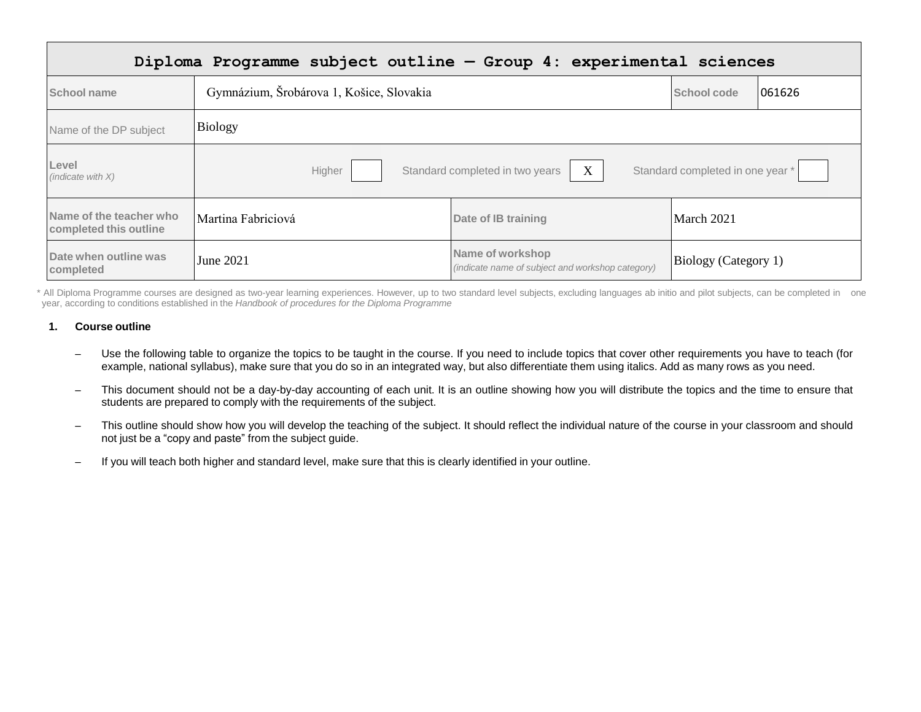| Diploma Programme subject outline - Group 4: experimental sciences |                                                                                    |                                                                      |                             |        |
|--------------------------------------------------------------------|------------------------------------------------------------------------------------|----------------------------------------------------------------------|-----------------------------|--------|
| School name                                                        | Gymnázium, Šrobárova 1, Košice, Slovakia                                           |                                                                      | School code                 | 061626 |
| Name of the DP subject                                             | Biology                                                                            |                                                                      |                             |        |
| Level<br>(indicate with $X$ )                                      | X<br>Standard completed in two years<br>Standard completed in one year *<br>Higher |                                                                      |                             |        |
| Name of the teacher who<br>completed this outline                  | Martina Fabriciová                                                                 | Date of IB training                                                  | March 2021                  |        |
| Date when outline was<br>completed                                 | June 2021                                                                          | Name of workshop<br>(indicate name of subject and workshop category) | <b>Biology</b> (Category 1) |        |

\* All Diploma Programme courses are designed as two-year learning experiences. However, up to two standard level subjects, excluding languages ab initio and pilot subjects, can be completed in one year, according to conditions established in the *Handbook of procedures for the Diploma Programme*

#### **1. Course outline**

- Use the following table to organize the topics to be taught in the course. If you need to include topics that cover other requirements you have to teach (for example, national syllabus), make sure that you do so in an integrated way, but also differentiate them using italics. Add as many rows as you need.
- This document should not be a day-by-day accounting of each unit. It is an outline showing how you will distribute the topics and the time to ensure that students are prepared to comply with the requirements of the subject.
- This outline should show how you will develop the teaching of the subject. It should reflect the individual nature of the course in your classroom and should not just be a "copy and paste" from the subject guide.
- If you will teach both higher and standard level, make sure that this is clearly identified in your outline.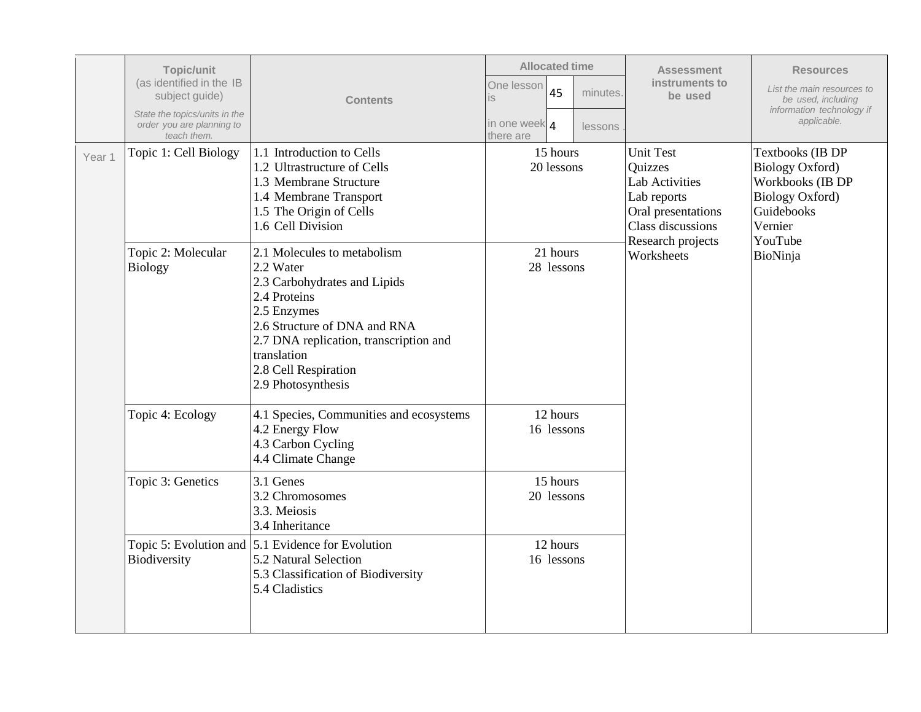|        | Topic/unit<br>(as identified in the IB<br>subject guide)<br>State the topics/units in the<br>order you are planning to<br>teach them. | <b>Contents</b>                                                                                                                                                                                                                                  | <b>Allocated time</b><br>One lesson<br>45<br>is<br>in one week 4<br>there are | minutes.<br>lessons | <b>Assessment</b><br>instruments to<br>be used                                                                                      | <b>Resources</b><br>List the main resources to<br>be used, including<br>information technology if<br>applicable.             |
|--------|---------------------------------------------------------------------------------------------------------------------------------------|--------------------------------------------------------------------------------------------------------------------------------------------------------------------------------------------------------------------------------------------------|-------------------------------------------------------------------------------|---------------------|-------------------------------------------------------------------------------------------------------------------------------------|------------------------------------------------------------------------------------------------------------------------------|
| Year 1 | Topic 1: Cell Biology                                                                                                                 | 1.1 Introduction to Cells<br>1.2 Ultrastructure of Cells<br>1.3 Membrane Structure<br>1.4 Membrane Transport<br>1.5 The Origin of Cells<br>1.6 Cell Division                                                                                     | 15 hours<br>20 lessons                                                        |                     | <b>Unit Test</b><br>Quizzes<br><b>Lab Activities</b><br>Lab reports<br>Oral presentations<br>Class discussions<br>Research projects | Textbooks (IB DP<br><b>Biology Oxford)</b><br>Workbooks (IB DP<br><b>Biology Oxford)</b><br>Guidebooks<br>Vernier<br>YouTube |
|        | Topic 2: Molecular<br><b>Biology</b>                                                                                                  | 2.1 Molecules to metabolism<br>$2.2$ Water<br>2.3 Carbohydrates and Lipids<br>2.4 Proteins<br>2.5 Enzymes<br>2.6 Structure of DNA and RNA<br>2.7 DNA replication, transcription and<br>translation<br>2.8 Cell Respiration<br>2.9 Photosynthesis | 21 hours<br>28 lessons                                                        |                     | Worksheets                                                                                                                          | BioNinja                                                                                                                     |
|        | Topic 4: Ecology                                                                                                                      | 4.1 Species, Communities and ecosystems<br>4.2 Energy Flow<br>4.3 Carbon Cycling<br>4.4 Climate Change                                                                                                                                           | 12 hours<br>16 lessons                                                        |                     |                                                                                                                                     |                                                                                                                              |
|        | Topic 3: Genetics                                                                                                                     | $3.1$ Genes<br>3.2 Chromosomes<br>3.3. Meiosis<br>3.4 Inheritance                                                                                                                                                                                | 15 hours<br>20 lessons                                                        |                     |                                                                                                                                     |                                                                                                                              |
|        | Biodiversity                                                                                                                          | Topic 5: Evolution and 5.1 Evidence for Evolution<br>5.2 Natural Selection<br>5.3 Classification of Biodiversity<br>5.4 Cladistics                                                                                                               | 12 hours<br>16 lessons                                                        |                     |                                                                                                                                     |                                                                                                                              |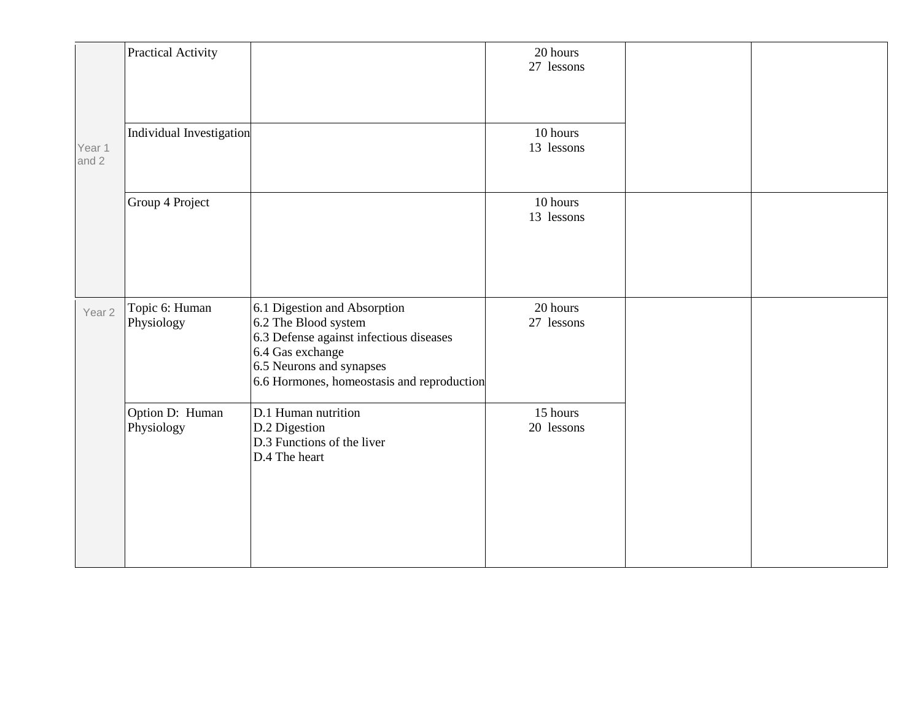|                   | Practical Activity            |                                                                                                                                                                                               | 20 hours<br>27 lessons |  |
|-------------------|-------------------------------|-----------------------------------------------------------------------------------------------------------------------------------------------------------------------------------------------|------------------------|--|
| Year 1<br>and 2   | Individual Investigation      |                                                                                                                                                                                               | 10 hours<br>13 lessons |  |
|                   | Group 4 Project               |                                                                                                                                                                                               | 10 hours<br>13 lessons |  |
| Year <sub>2</sub> | Topic 6: Human<br>Physiology  | 6.1 Digestion and Absorption<br>6.2 The Blood system<br>6.3 Defense against infectious diseases<br>6.4 Gas exchange<br>6.5 Neurons and synapses<br>6.6 Hormones, homeostasis and reproduction | 20 hours<br>27 lessons |  |
|                   | Option D: Human<br>Physiology | D.1 Human nutrition<br>D.2 Digestion<br>D.3 Functions of the liver<br>D.4 The heart                                                                                                           | 15 hours<br>20 lessons |  |
|                   |                               |                                                                                                                                                                                               |                        |  |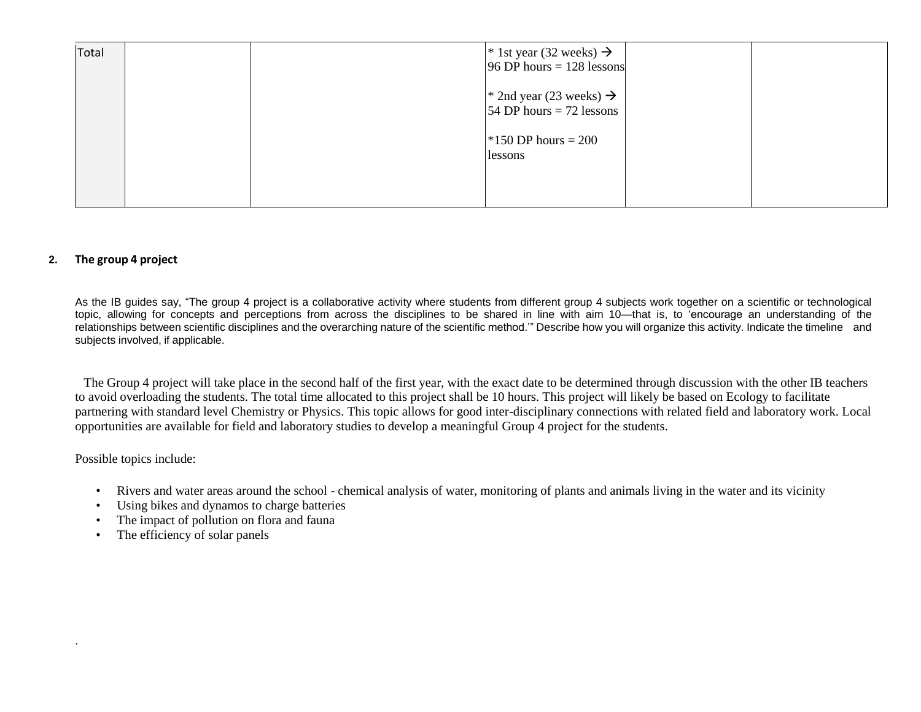| Total |  | <sup>*</sup> 1st year (32 weeks) $\rightarrow$<br>$96$ DP hours = 128 lessons |  |
|-------|--|-------------------------------------------------------------------------------|--|
|       |  | * 2nd year (23 weeks) $\rightarrow$<br>54 DP hours $= 72$ lessons             |  |
|       |  | $*150$ DP hours = 200<br>lessons                                              |  |
|       |  |                                                                               |  |

### **2. The group 4 project**

As the IB guides say, "The group 4 project is a collaborative activity where students from different group 4 subjects work together on a scientific or technological topic, allowing for concepts and perceptions from across the disciplines to be shared in line with aim 10—that is, to 'encourage an understanding of the relationships between scientific disciplines and the overarching nature of the scientific method.'" Describe how you will organize this activity. Indicate the timeline and subjects involved, if applicable.

The Group 4 project will take place in the second half of the first year, with the exact date to be determined through discussion with the other IB teachers to avoid overloading the students. The total time allocated to this project shall be 10 hours. This project will likely be based on Ecology to facilitate partnering with standard level Chemistry or Physics. This topic allows for good inter-disciplinary connections with related field and laboratory work. Local opportunities are available for field and laboratory studies to develop a meaningful Group 4 project for the students.

Possible topics include:

.

- Rivers and water areas around the school chemical analysis of water, monitoring of plants and animals living in the water and its vicinity
- Using bikes and dynamos to charge batteries
- The impact of pollution on flora and fauna
- The efficiency of solar panels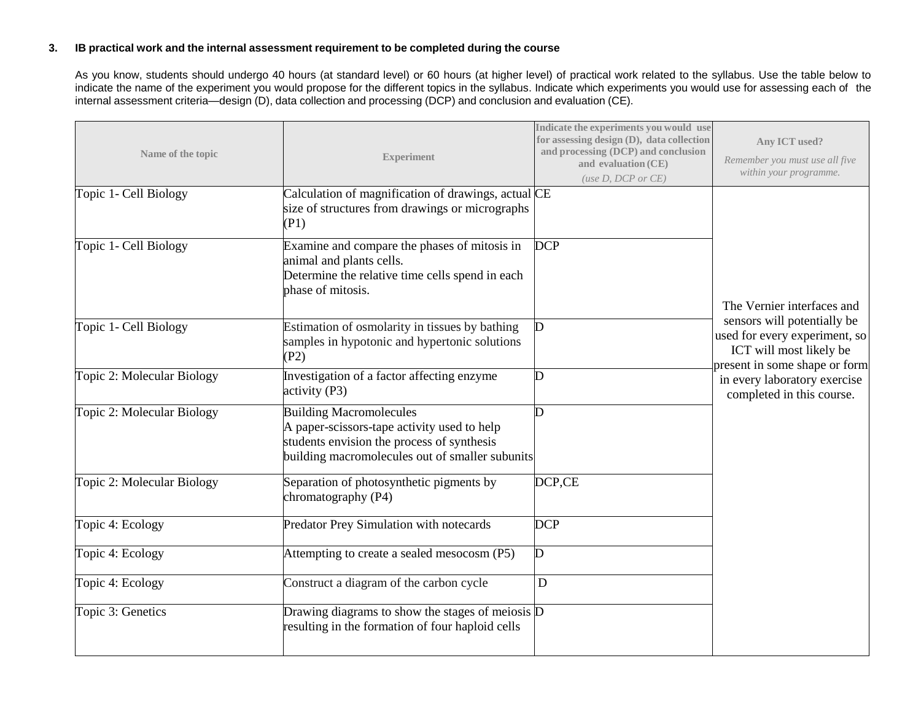### **3. IB practical work and the internal assessment requirement to be completed during the course**

As you know, students should undergo 40 hours (at standard level) or 60 hours (at higher level) of practical work related to the syllabus. Use the table below to indicate the name of the experiment you would propose for the different topics in the syllabus. Indicate which experiments you would use for assessing each of the internal assessment criteria—design (D), data collection and processing (DCP) and conclusion and evaluation (CE).

| Name of the topic          | <b>Experiment</b>                                                                                                                                                              | Indicate the experiments you would use<br>for assessing design (D), data collection<br>and processing (DCP) and conclusion<br>and evaluation (CE)<br>(use $D$ , $DCP$ or $CE$ ) | Any ICT used?<br>Remember you must use all five<br>within your programme.                                                |
|----------------------------|--------------------------------------------------------------------------------------------------------------------------------------------------------------------------------|---------------------------------------------------------------------------------------------------------------------------------------------------------------------------------|--------------------------------------------------------------------------------------------------------------------------|
| Topic 1- Cell Biology      | Calculation of magnification of drawings, actual CE<br>size of structures from drawings or micrographs<br>(P1)                                                                 |                                                                                                                                                                                 |                                                                                                                          |
| Topic 1- Cell Biology      | Examine and compare the phases of mitosis in<br>animal and plants cells.<br>Determine the relative time cells spend in each<br>phase of mitosis.                               | <b>DCP</b>                                                                                                                                                                      | The Vernier interfaces and                                                                                               |
| Topic 1- Cell Biology      | Estimation of osmolarity in tissues by bathing<br>samples in hypotonic and hypertonic solutions<br>(P2)                                                                        | D                                                                                                                                                                               | sensors will potentially be<br>used for every experiment, so<br>ICT will most likely be<br>present in some shape or form |
| Topic 2: Molecular Biology | Investigation of a factor affecting enzyme<br>activity (P3)                                                                                                                    | D                                                                                                                                                                               | in every laboratory exercise<br>completed in this course.                                                                |
| Topic 2: Molecular Biology | <b>Building Macromolecules</b><br>A paper-scissors-tape activity used to help<br>students envision the process of synthesis<br>building macromolecules out of smaller subunits | D                                                                                                                                                                               |                                                                                                                          |
| Topic 2: Molecular Biology | Separation of photosynthetic pigments by<br>chromatography (P4)                                                                                                                | DCP,CE                                                                                                                                                                          |                                                                                                                          |
| Topic 4: Ecology           | <b>Predator Prey Simulation with notecards</b>                                                                                                                                 | <b>DCP</b>                                                                                                                                                                      |                                                                                                                          |
| Topic 4: Ecology           | Attempting to create a sealed mesocosm (P5)                                                                                                                                    | D                                                                                                                                                                               |                                                                                                                          |
| Topic 4: Ecology           | Construct a diagram of the carbon cycle                                                                                                                                        | ${\bf D}$                                                                                                                                                                       |                                                                                                                          |
| Topic 3: Genetics          | Drawing diagrams to show the stages of meiosis $\overline{D}$<br>resulting in the formation of four haploid cells                                                              |                                                                                                                                                                                 |                                                                                                                          |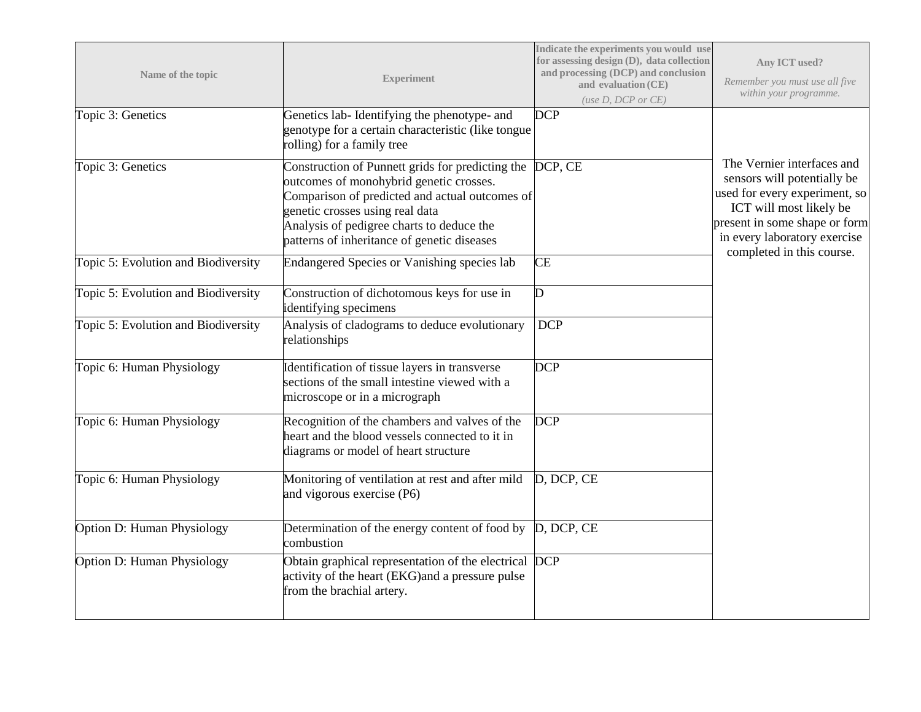| Name of the topic                   | <b>Experiment</b>                                                                                                                                                                                                                                                                    | Indicate the experiments you would use<br>for assessing design (D), data collection<br>and processing (DCP) and conclusion<br>and evaluation (CE)<br>(use $D$ , $DCP$ or $CE$ ) | Any ICT used?<br>Remember you must use all five<br>within your programme.                                                                                                                                           |
|-------------------------------------|--------------------------------------------------------------------------------------------------------------------------------------------------------------------------------------------------------------------------------------------------------------------------------------|---------------------------------------------------------------------------------------------------------------------------------------------------------------------------------|---------------------------------------------------------------------------------------------------------------------------------------------------------------------------------------------------------------------|
| Topic 3: Genetics                   | Genetics lab-Identifying the phenotype- and<br>genotype for a certain characteristic (like tongue)<br>rolling) for a family tree                                                                                                                                                     | <b>DCP</b>                                                                                                                                                                      |                                                                                                                                                                                                                     |
| Topic 3: Genetics                   | Construction of Punnett grids for predicting the DCP, CE<br>outcomes of monohybrid genetic crosses.<br>Comparison of predicted and actual outcomes of<br>genetic crosses using real data<br>Analysis of pedigree charts to deduce the<br>patterns of inheritance of genetic diseases |                                                                                                                                                                                 | The Vernier interfaces and<br>sensors will potentially be<br>used for every experiment, so<br>ICT will most likely be<br>present in some shape or form<br>in every laboratory exercise<br>completed in this course. |
| Topic 5: Evolution and Biodiversity | Endangered Species or Vanishing species lab                                                                                                                                                                                                                                          | <b>CE</b>                                                                                                                                                                       |                                                                                                                                                                                                                     |
| Topic 5: Evolution and Biodiversity | Construction of dichotomous keys for use in<br>identifying specimens                                                                                                                                                                                                                 | D                                                                                                                                                                               |                                                                                                                                                                                                                     |
| Topic 5: Evolution and Biodiversity | Analysis of cladograms to deduce evolutionary<br>relationships                                                                                                                                                                                                                       | <b>DCP</b>                                                                                                                                                                      |                                                                                                                                                                                                                     |
| Topic 6: Human Physiology           | Identification of tissue layers in transverse<br>sections of the small intestine viewed with a<br>microscope or in a micrograph                                                                                                                                                      | <b>DCP</b>                                                                                                                                                                      |                                                                                                                                                                                                                     |
| Topic 6: Human Physiology           | Recognition of the chambers and valves of the<br>heart and the blood vessels connected to it in<br>diagrams or model of heart structure                                                                                                                                              | <b>DCP</b>                                                                                                                                                                      |                                                                                                                                                                                                                     |
| Topic 6: Human Physiology           | Monitoring of ventilation at rest and after mild<br>and vigorous exercise (P6)                                                                                                                                                                                                       | D, DCP, CE                                                                                                                                                                      |                                                                                                                                                                                                                     |
| Option D: Human Physiology          | Determination of the energy content of food by<br>combustion                                                                                                                                                                                                                         | D, DCP, CE                                                                                                                                                                      |                                                                                                                                                                                                                     |
| Option D: Human Physiology          | Obtain graphical representation of the electrical DCP<br>activity of the heart (EKG) and a pressure pulse<br>from the brachial artery.                                                                                                                                               |                                                                                                                                                                                 |                                                                                                                                                                                                                     |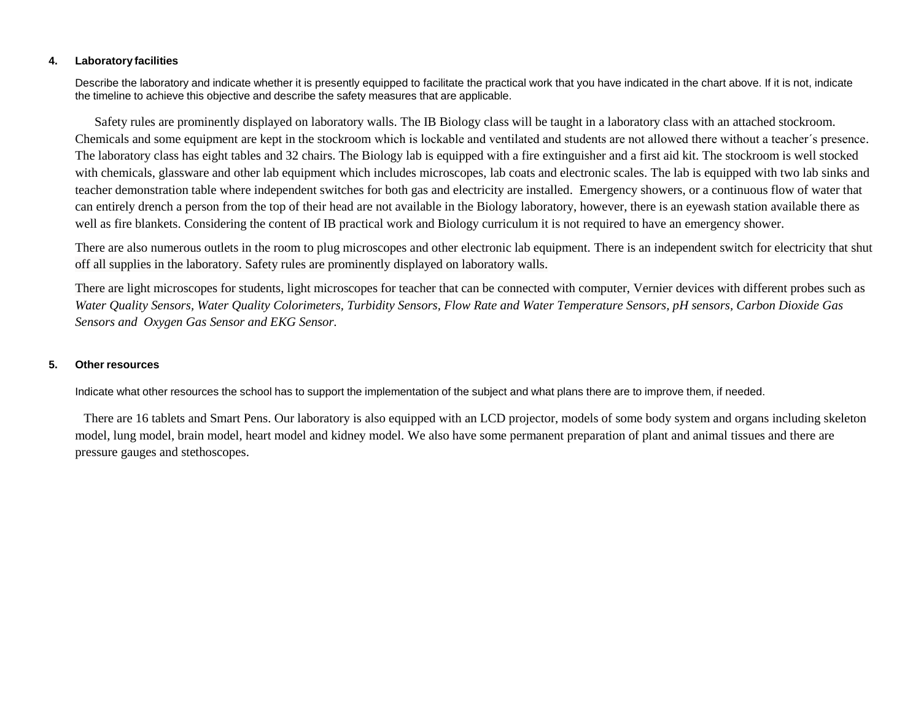#### **4. Laboratory facilities**

Describe the laboratory and indicate whether it is presently equipped to facilitate the practical work that you have indicated in the chart above. If it is not, indicate the timeline to achieve this objective and describe the safety measures that are applicable.

Safety rules are prominently displayed on laboratory walls. The IB Biology class will be taught in a laboratory class with an attached stockroom. Chemicals and some equipment are kept in the stockroom which is lockable and ventilated and students are not allowed there without a teacher´s presence. The laboratory class has eight tables and 32 chairs. The Biology lab is equipped with a fire extinguisher and a first aid kit. The stockroom is well stocked with chemicals, glassware and other lab equipment which includes microscopes, lab coats and electronic scales. The lab is equipped with two lab sinks and teacher demonstration table where independent switches for both gas and electricity are installed. Emergency showers, or a continuous flow of water that can entirely drench a person from the top of their head are not available in the Biology laboratory, however, there is an eyewash station available there as well as fire blankets. Considering the content of IB practical work and Biology curriculum it is not required to have an emergency shower.

There are also numerous outlets in the room to plug microscopes and other electronic lab equipment. There is an independent switch for electricity that shut off all supplies in the laboratory. Safety rules are prominently displayed on laboratory walls.

There are light microscopes for students, light microscopes for teacher that can be connected with computer, Vernier devices with different probes such as *Water Quality Sensors, Water Quality Colorimeters, Turbidity Sensors, Flow Rate and Water Temperature Sensors, pH sensors, Carbon Dioxide Gas Sensors and Oxygen Gas Sensor and EKG Sensor.*

#### **5. Other resources**

Indicate what other resources the school has to support the implementation of the subject and what plans there are to improve them, if needed.

There are 16 tablets and Smart Pens. Our laboratory is also equipped with an LCD projector, models of some body system and organs including skeleton model, lung model, brain model, heart model and kidney model. We also have some permanent preparation of plant and animal tissues and there are pressure gauges and stethoscopes.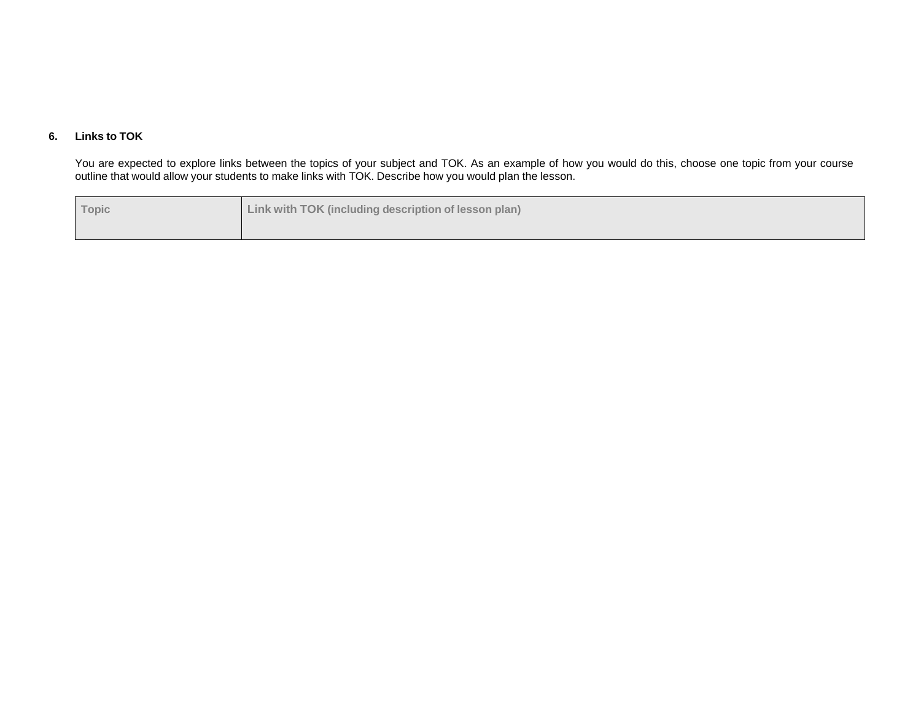# **6. Links to TOK**

You are expected to explore links between the topics of your subject and TOK. As an example of how you would do this, choose one topic from your course outline that would allow your students to make links with TOK. Describe how you would plan the lesson.

| Topic | Link with TOK (including description of lesson plan) |
|-------|------------------------------------------------------|
|       |                                                      |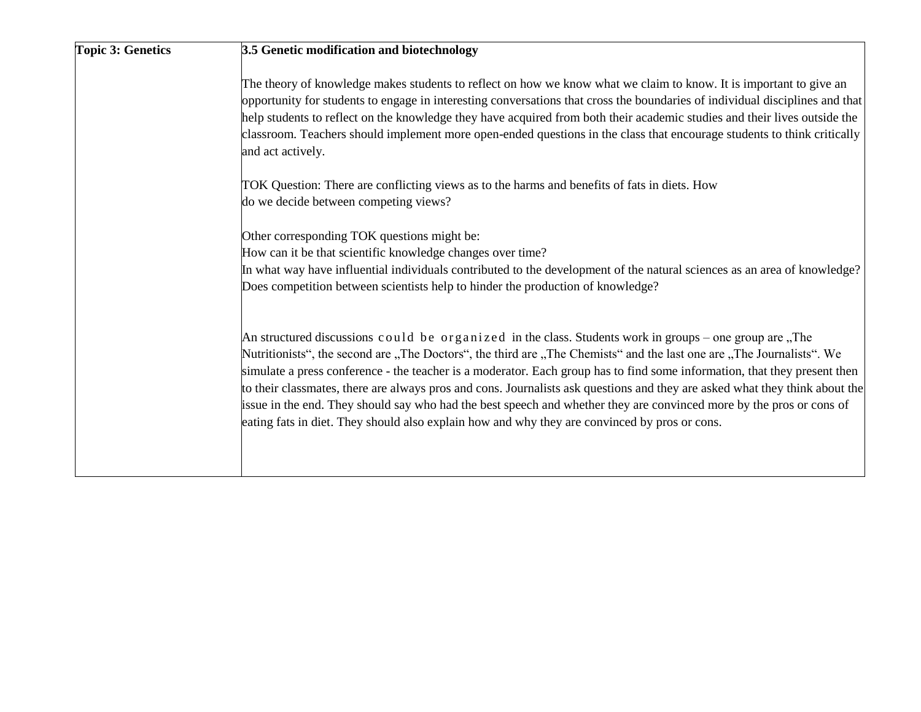| <b>Topic 3: Genetics</b> | 3.5 Genetic modification and biotechnology                                                                                                                                                                                                                                                                                                                                                                                                                                                                                                                                                                                                                                                                            |
|--------------------------|-----------------------------------------------------------------------------------------------------------------------------------------------------------------------------------------------------------------------------------------------------------------------------------------------------------------------------------------------------------------------------------------------------------------------------------------------------------------------------------------------------------------------------------------------------------------------------------------------------------------------------------------------------------------------------------------------------------------------|
|                          | The theory of knowledge makes students to reflect on how we know what we claim to know. It is important to give an<br>opportunity for students to engage in interesting conversations that cross the boundaries of individual disciplines and that<br>help students to reflect on the knowledge they have acquired from both their academic studies and their lives outside the<br>classroom. Teachers should implement more open-ended questions in the class that encourage students to think critically<br>and act actively.                                                                                                                                                                                       |
|                          | TOK Question: There are conflicting views as to the harms and benefits of fats in diets. How<br>do we decide between competing views?                                                                                                                                                                                                                                                                                                                                                                                                                                                                                                                                                                                 |
|                          | Other corresponding TOK questions might be:<br>How can it be that scientific knowledge changes over time?<br>In what way have influential individuals contributed to the development of the natural sciences as an area of knowledge?<br>Does competition between scientists help to hinder the production of knowledge?                                                                                                                                                                                                                                                                                                                                                                                              |
|                          | An structured discussions could be organized in the class. Students work in groups – one group are, The<br>Nutritionists", the second are "The Doctors", the third are "The Chemists" and the last one are "The Journalists". We<br>simulate a press conference - the teacher is a moderator. Each group has to find some information, that they present then<br>to their classmates, there are always pros and cons. Journalists ask questions and they are asked what they think about the<br>issue in the end. They should say who had the best speech and whether they are convinced more by the pros or cons of<br>eating fats in diet. They should also explain how and why they are convinced by pros or cons. |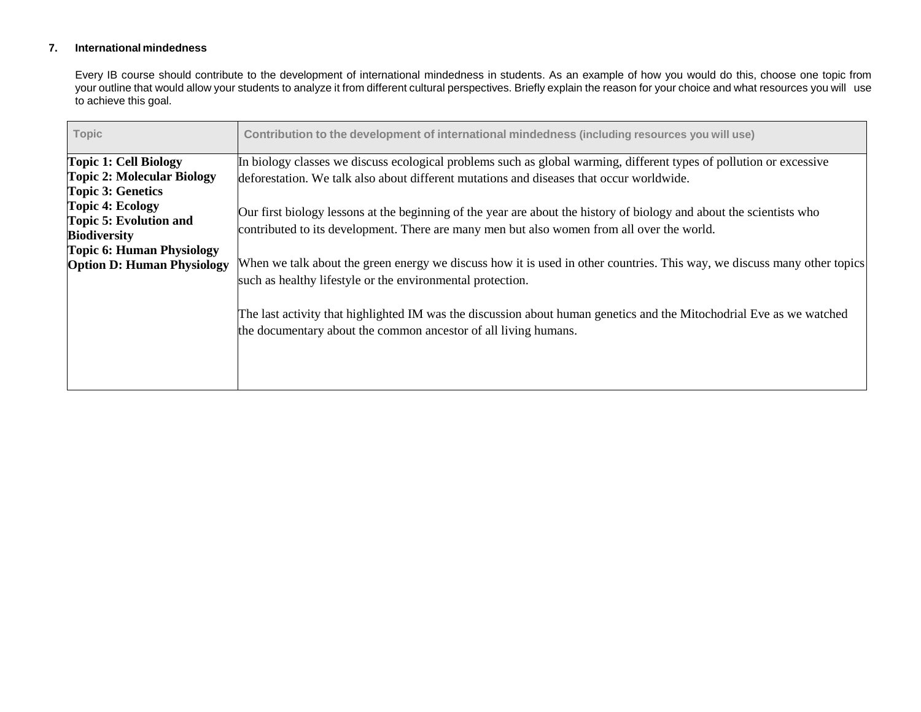# **7. International mindedness**

Every IB course should contribute to the development of international mindedness in students. As an example of how you would do this, choose one topic from your outline that would allow your students to analyze it from different cultural perspectives. Briefly explain the reason for your choice and what resources you will use to achieve this goal.

| <b>Topic</b>                      | Contribution to the development of international mindedness (including resources you will use)                                                                                          |
|-----------------------------------|-----------------------------------------------------------------------------------------------------------------------------------------------------------------------------------------|
| <b>Topic 1: Cell Biology</b>      | In biology classes we discuss ecological problems such as global warming, different types of pollution or excessive                                                                     |
| <b>Topic 2: Molecular Biology</b> | deforestation. We talk also about different mutations and diseases that occur worldwide.                                                                                                |
| <b>Topic 3: Genetics</b>          |                                                                                                                                                                                         |
| <b>Topic 4: Ecology</b>           | Our first biology lessons at the beginning of the year are about the history of biology and about the scientists who                                                                    |
| Topic 5: Evolution and            | contributed to its development. There are many men but also women from all over the world.                                                                                              |
| <b>Biodiversity</b>               |                                                                                                                                                                                         |
| <b>Topic 6: Human Physiology</b>  |                                                                                                                                                                                         |
| <b>Option D: Human Physiology</b> | When we talk about the green energy we discuss how it is used in other countries. This way, we discuss many other topics                                                                |
|                                   | such as healthy lifestyle or the environmental protection.                                                                                                                              |
|                                   | The last activity that highlighted IM was the discussion about human genetics and the Mitochodrial Eve as we watched<br>the documentary about the common ancestor of all living humans. |